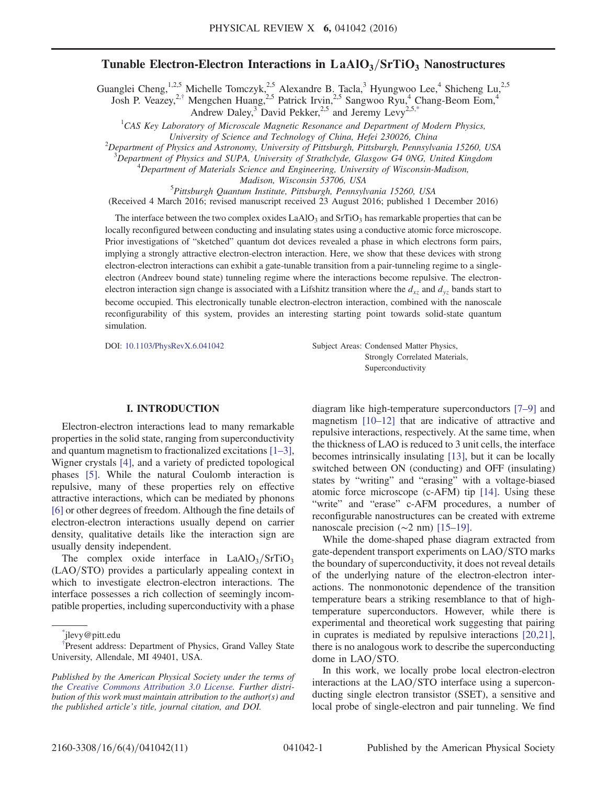# Tunable Electron-Electron Interactions in  $LaAlO<sub>3</sub>/SrTiO<sub>3</sub>$  Nanostructures

<span id="page-0-3"></span><span id="page-0-2"></span>Guanglei Cheng,<sup>1,2,5</sup> Michelle Tomczyk,<sup>2,5</sup> Alexandre B. Tacla,<sup>3</sup> Hyungwoo Lee,<sup>4</sup> Shicheng Lu,<sup>2,5</sup> Josh P. Veazey,<sup>2,[†](#page-0-0)</sup> Mengchen Huang,<sup>2,5</sup> Patrick Irvin,<sup>2,5</sup> Sangwoo Ryu,<sup>4</sup> Chang-Beom Eom,<sup>4</sup>

Andrew Daley,<sup>3</sup> David Pekker,<sup>2,5</sup> and Jeremy Levy<sup>2,[5,\\*](#page-0-1)</sup>

<sup>1</sup>CAS Key Laboratory of Microscale Magnetic Resonance and Department of Modern Physics,

 $^{2}$ Department of Physics and Astronomy, University of Pittsburgh, Pittsburgh, Pennsylvania 15260, USA

<sup>3</sup>Department of Physics and SUPA, University of Strathclyde, Glasgow G4 0NG, United Kingdom  $4D$  and the Materials Science and Engineering, University of Wisconsin Madison <sup>4</sup>Department of Materials Science and Engineering, University of Wisconsin-Madison,

Madison, Wisconsin 53706, USA<br><sup>5</sup>Pittsburgh Quantum Institute, Pittsburgh, Pennsylvania 15260, USA

(Received 4 March 2016; revised manuscript received 23 August 2016; published 1 December 2016)

The interface between the two complex oxides  $LaAlO<sub>3</sub>$  and  $SrTiO<sub>3</sub>$  has remarkable properties that can be locally reconfigured between conducting and insulating states using a conductive atomic force microscope. Prior investigations of "sketched" quantum dot devices revealed a phase in which electrons form pairs, implying a strongly attractive electron-electron interaction. Here, we show that these devices with strong electron-electron interactions can exhibit a gate-tunable transition from a pair-tunneling regime to a singleelectron (Andreev bound state) tunneling regime where the interactions become repulsive. The electronelectron interaction sign change is associated with a Lifshitz transition where the  $d_{xz}$  and  $d_{yz}$  bands start to become occupied. This electronically tunable electron-electron interaction, combined with the nanoscale reconfigurability of this system, provides an interesting starting point towards solid-state quantum simulation.

DOI: [10.1103/PhysRevX.6.041042](http://dx.doi.org/10.1103/PhysRevX.6.041042) Subject Areas: Condensed Matter Physics, Strongly Correlated Materials, Superconductivity

# I. INTRODUCTION

Electron-electron interactions lead to many remarkable properties in the solid state, ranging from superconductivity and quantum magnetism to fractionalized excitations [\[1](#page-9-0)–3], Wigner crystals [\[4\],](#page-9-1) and a variety of predicted topological phases [\[5\]](#page-9-2). While the natural Coulomb interaction is repulsive, many of these properties rely on effective attractive interactions, which can be mediated by phonons [\[6\]](#page-9-3) or other degrees of freedom. Although the fine details of electron-electron interactions usually depend on carrier density, qualitative details like the interaction sign are usually density independent.

The complex oxide interface in  $LaAlO<sub>3</sub>/SrTiO<sub>3</sub>$ (LAO/STO) provides a particularly appealing context in which to investigate electron-electron interactions. The interface possesses a rich collection of seemingly incompatible properties, including superconductivity with a phase

<span id="page-0-1"></span>[\\*](#page-0-2) jlevy@pitt.edu

diagram like high-temperature superconductors [\[7](#page-9-4)–9] and magnetism [10–[12\]](#page-9-5) that are indicative of attractive and repulsive interactions, respectively. At the same time, when the thickness of LAO is reduced to 3 unit cells, the interface becomes intrinsically insulating [\[13\]](#page-10-0), but it can be locally switched between ON (conducting) and OFF (insulating) states by "writing" and "erasing" with a voltage-biased atomic force microscope (c-AFM) tip [\[14\].](#page-10-1) Using these "write" and "erase" c-AFM procedures, a number of reconfigurable nanostructures can be created with extreme nanoscale precision (∼2 nm) [15–[19\].](#page-10-2)

While the dome-shaped phase diagram extracted from gate-dependent transport experiments on LAO/STO marks the boundary of superconductivity, it does not reveal details of the underlying nature of the electron-electron interactions. The nonmonotonic dependence of the transition temperature bears a striking resemblance to that of hightemperature superconductors. However, while there is experimental and theoretical work suggesting that pairing in cuprates is mediated by repulsive interactions [\[20,21\]](#page-10-3), there is no analogous work to describe the superconducting dome in  $LAO/STO$ .

In this work, we locally probe local electron-electron interactions at the LAO/STO interface using a superconducting single electron transistor (SSET), a sensitive and local probe of single-electron and pair tunneling. We find

University of Science and Technology of China, Hefei 230026, China <sup>2</sup>

<span id="page-0-0"></span>Present address: Department of Physics, Grand Valley State University, Allendale, MI 49401, USA.

Published by the American Physical Society under the terms of the [Creative Commons Attribution 3.0 License.](http://creativecommons.org/licenses/by/3.0/) Further distribution of this work must maintain attribution to the author(s) and the published article's title, journal citation, and DOI.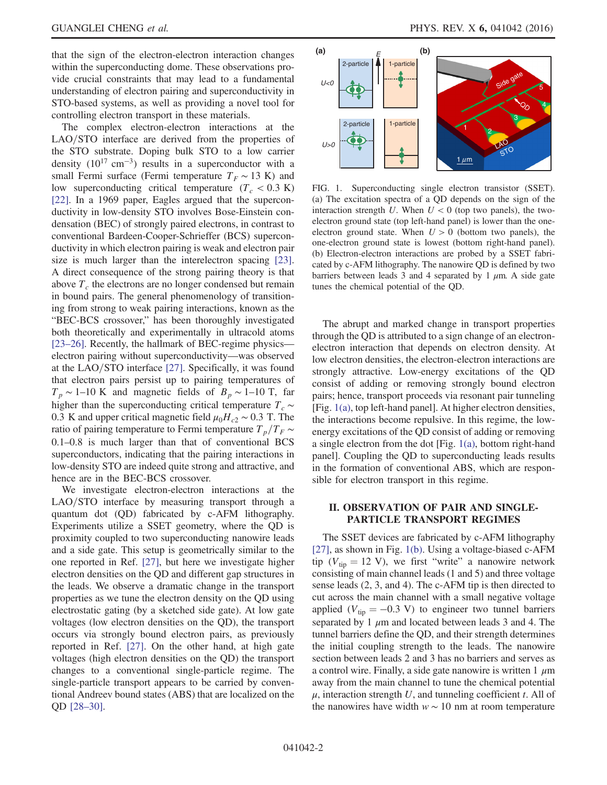that the sign of the electron-electron interaction changes within the superconducting dome. These observations provide crucial constraints that may lead to a fundamental understanding of electron pairing and superconductivity in STO-based systems, as well as providing a novel tool for controlling electron transport in these materials.

The complex electron-electron interactions at the  $LAO/STO$  interface are derived from the properties of the STO substrate. Doping bulk STO to a low carrier density  $(10^{17} \text{ cm}^{-3})$  results in a superconductor with a small Fermi surface (Fermi temperature  $T_F \sim 13$  K) and low superconducting critical temperature ( $T_c$  < 0.3 K) [\[22\]](#page-10-4). In a 1969 paper, Eagles argued that the superconductivity in low-density STO involves Bose-Einstein condensation (BEC) of strongly paired electrons, in contrast to conventional Bardeen-Cooper-Schrieffer (BCS) superconductivity in which electron pairing is weak and electron pair size is much larger than the interelectron spacing [\[23\]](#page-10-5). A direct consequence of the strong pairing theory is that above  $T_c$  the electrons are no longer condensed but remain in bound pairs. The general phenomenology of transitioning from strong to weak pairing interactions, known as the "BEC-BCS crossover," has been thoroughly investigated both theoretically and experimentally in ultracold atoms [\[23](#page-10-5)–26]. Recently, the hallmark of BEC-regime physics electron pairing without superconductivity—was observed at the  $LAO/STO$  interface [\[27\]](#page-10-6). Specifically, it was found that electron pairs persist up to pairing temperatures of  $T_p \sim 1$ –10 K and magnetic fields of  $B_p \sim 1$ –10 T, far higher than the superconducting critical temperature  $T_c \sim$ 0.3 K and upper critical magnetic field  $\mu_0H_{c2} \sim 0.3$  T. The ratio of pairing temperature to Fermi temperature  $T_p/T_F \sim$ 0.1–0.8 is much larger than that of conventional BCS superconductors, indicating that the pairing interactions in low-density STO are indeed quite strong and attractive, and hence are in the BEC-BCS crossover.

We investigate electron-electron interactions at the LAO/STO interface by measuring transport through a quantum dot (QD) fabricated by c-AFM lithography. Experiments utilize a SSET geometry, where the QD is proximity coupled to two superconducting nanowire leads and a side gate. This setup is geometrically similar to the one reported in Ref. [\[27\]](#page-10-6), but here we investigate higher electron densities on the QD and different gap structures in the leads. We observe a dramatic change in the transport properties as we tune the electron density on the QD using electrostatic gating (by a sketched side gate). At low gate voltages (low electron densities on the QD), the transport occurs via strongly bound electron pairs, as previously reported in Ref. [\[27\]](#page-10-6). On the other hand, at high gate voltages (high electron densities on the QD) the transport changes to a conventional single-particle regime. The single-particle transport appears to be carried by conventional Andreev bound states (ABS) that are localized on the QD [28–[30\].](#page-10-7)

<span id="page-1-0"></span>

FIG. 1. Superconducting single electron transistor (SSET). (a) The excitation spectra of a QD depends on the sign of the interaction strength U. When  $U < 0$  (top two panels), the twoelectron ground state (top left-hand panel) is lower than the oneelectron ground state. When  $U > 0$  (bottom two panels), the one-electron ground state is lowest (bottom right-hand panel). (b) Electron-electron interactions are probed by a SSET fabricated by c-AFM lithography. The nanowire QD is defined by two barriers between leads 3 and 4 separated by 1  $\mu$ m. A side gate tunes the chemical potential of the QD.

The abrupt and marked change in transport properties through the QD is attributed to a sign change of an electronelectron interaction that depends on electron density. At low electron densities, the electron-electron interactions are strongly attractive. Low-energy excitations of the QD consist of adding or removing strongly bound electron pairs; hence, transport proceeds via resonant pair tunneling [Fig. [1\(a\),](#page-1-0) top left-hand panel]. At higher electron densities, the interactions become repulsive. In this regime, the lowenergy excitations of the QD consist of adding or removing a single electron from the dot [Fig. [1\(a\)](#page-1-0), bottom right-hand panel]. Coupling the QD to superconducting leads results in the formation of conventional ABS, which are responsible for electron transport in this regime.

# II. OBSERVATION OF PAIR AND SINGLE-PARTICLE TRANSPORT REGIMES

The SSET devices are fabricated by c-AFM lithography [\[27\]](#page-10-6), as shown in Fig. [1\(b\)](#page-1-0). Using a voltage-biased c-AFM tip ( $V_{\text{tip}} = 12$  V), we first "write" a nanowire network consisting of main channel leads (1 and 5) and three voltage sense leads (2, 3, and 4). The c-AFM tip is then directed to cut across the main channel with a small negative voltage applied ( $V_{\text{tip}} = -0.3$  V) to engineer two tunnel barriers separated by 1  $\mu$ m and located between leads 3 and 4. The tunnel barriers define the QD, and their strength determines the initial coupling strength to the leads. The nanowire section between leads 2 and 3 has no barriers and serves as a control wire. Finally, a side gate nanowire is written 1  $\mu$ m away from the main channel to tune the chemical potential  $\mu$ , interaction strength U, and tunneling coefficient t. All of the nanowires have width  $w \sim 10$  nm at room temperature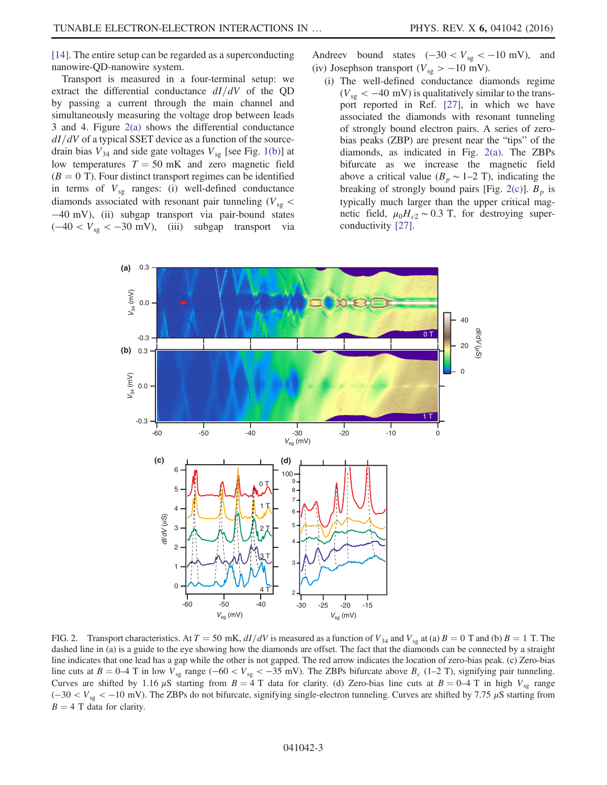[\[14\]](#page-10-1). The entire setup can be regarded as a superconducting nanowire-QD-nanowire system.

Transport is measured in a four-terminal setup: we extract the differential conductance  $dI/dV$  of the QD by passing a current through the main channel and simultaneously measuring the voltage drop between leads 3 and 4. Figure [2\(a\)](#page-2-0) shows the differential conductance  $dI/dV$  of a typical SSET device as a function of the sourcedrain bias  $V_{34}$  and side gate voltages  $V_{sg}$  [see Fig. [1\(b\)](#page-1-0)] at low temperatures  $T = 50$  mK and zero magnetic field  $(B = 0$  T). Four distinct transport regimes can be identified in terms of  $V_{sg}$  ranges: (i) well-defined conductance diamonds associated with resonant pair tunneling ( $V_{sg}$  < −40 mV), (ii) subgap transport via pair-bound states (−40 < Vsg < −30 mV), (iii) subgap transport via Andreev bound states  $(-30 < V_{sg} < -10$  mV), and (iv) Josephson transport ( $V_{sg} > -10$  mV).

(i) The well-defined conductance diamonds regime  $(V_{\rm sg} < -40 \text{ mV})$  is qualitatively similar to the transport reported in Ref. [\[27\],](#page-10-6) in which we have associated the diamonds with resonant tunneling of strongly bound electron pairs. A series of zerobias peaks (ZBP) are present near the "tips" of the diamonds, as indicated in Fig. [2\(a\).](#page-2-0) The ZBPs bifurcate as we increase the magnetic field above a critical value ( $B_p \sim 1-2$  T), indicating the breaking of strongly bound pairs [Fig. [2\(c\)\]](#page-2-0).  $B_p$  is typically much larger than the upper critical magnetic field,  $\mu_0 H_{c2} \sim 0.3$  T, for destroying superconductivity [\[27\].](#page-10-6)

<span id="page-2-0"></span>

FIG. 2. Transport characteristics. At  $T = 50$  mK,  $dI/dV$  is measured as a function of  $V_{34}$  and  $V_{sg}$  at (a)  $B = 0$  T and (b)  $B = 1$  T. The dashed line in (a) is a guide to the eye showing how the diamonds are offset. The fact that the diamonds can be connected by a straight line indicates that one lead has a gap while the other is not gapped. The red arrow indicates the location of zero-bias peak. (c) Zero-bias line cuts at  $B = 0-4$  T in low  $V_{sg}$  range ( $-60 < V_{sg} < -35$  mV). The ZBPs bifurcate above  $B_c$  (1–2 T), signifying pair tunneling. Curves are shifted by 1.16  $\mu$ S starting from  $B = 4$  T data for clarity. (d) Zero-bias line cuts at  $B = 0-4$  T in high  $V_{sg}$  range  $(-30 < V_{sg} < -10$  mV). The ZBPs do not bifurcate, signifying single-electron tunneling. Curves are shifted by 7.75  $\mu$ S starting from  $B = 4$  T data for clarity.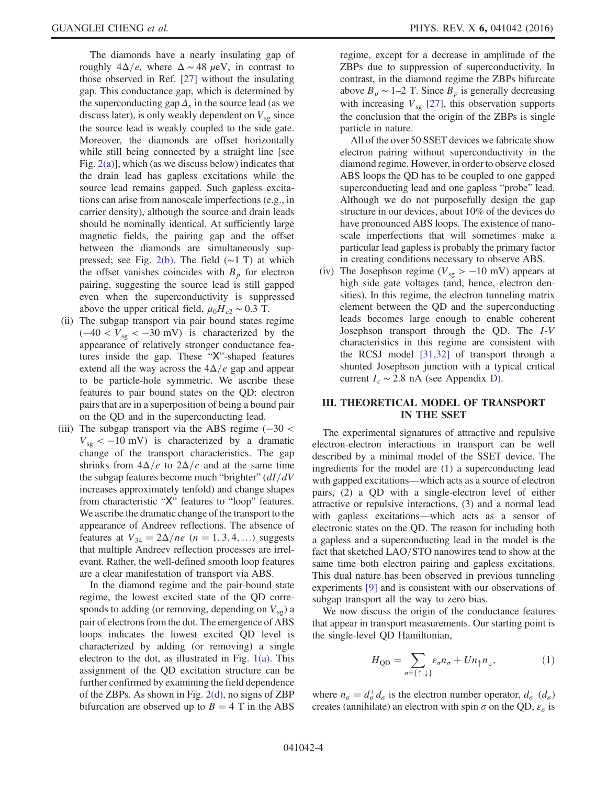The diamonds have a nearly insulating gap of roughly  $4\Delta/e$ , where  $\Delta \sim 48 \mu\text{eV}$ , in contrast to those observed in Ref. [\[27\]](#page-10-6) without the insulating gap. This conductance gap, which is determined by the superconducting gap  $\Delta_s$  in the source lead (as we discuss later), is only weakly dependent on  $V_{sg}$  since the source lead is weakly coupled to the side gate. Moreover, the diamonds are offset horizontally while still being connected by a straight line [see Fig. [2\(a\)](#page-2-0)], which (as we discuss below) indicates that the drain lead has gapless excitations while the source lead remains gapped. Such gapless excitations can arise from nanoscale imperfections (e.g., in carrier density), although the source and drain leads should be nominally identical. At sufficiently large magnetic fields, the pairing gap and the offset between the diamonds are simultaneously suppressed; see Fig. [2\(b\).](#page-2-0) The field (∼1 T) at which the offset vanishes coincides with  $B_p$  for electron pairing, suggesting the source lead is still gapped even when the superconductivity is suppressed above the upper critical field,  $\mu_0 H_{c2} \sim 0.3$  T.

- (ii) The subgap transport via pair bound states regime  $(-40 < V_{sg} < -30$  mV) is characterized by the appearance of relatively stronger conductance features inside the gap. These "X"-shaped features extend all the way across the  $4\Delta/e$  gap and appear to be particle-hole symmetric. We ascribe these features to pair bound states on the QD: electron pairs that are in a superposition of being a bound pair on the QD and in the superconducting lead.
- (iii) The subgap transport via the ABS regime  $(-30 <$  $V_{sg} < -10$  mV) is characterized by a dramatic change of the transport characteristics. The gap shrinks from  $4\Delta/e$  to  $2\Delta/e$  and at the same time the subgap features become much "brighter"  $\frac{dI}{dV}$ increases approximately tenfold) and change shapes from characteristic "X" features to "loop" features. We ascribe the dramatic change of the transport to the appearance of Andreev reflections. The absence of features at  $V_{34} = 2\Delta/ne$  (n = 1, 3, 4, …) suggests that multiple Andreev reflection processes are irrelevant. Rather, the well-defined smooth loop features are a clear manifestation of transport via ABS.

In the diamond regime and the pair-bound state regime, the lowest excited state of the QD corresponds to adding (or removing, depending on  $V_{sg}$ ) a pair of electrons from the dot. The emergence of ABS loops indicates the lowest excited QD level is characterized by adding (or removing) a single electron to the dot, as illustrated in Fig. [1\(a\)](#page-1-0). This assignment of the QD excitation structure can be further confirmed by examining the field dependence of the ZBPs. As shown in Fig. [2\(d\),](#page-2-0) no signs of ZBP bifurcation are observed up to  $B = 4$  T in the ABS regime, except for a decrease in amplitude of the ZBPs due to suppression of superconductivity. In contrast, in the diamond regime the ZBPs bifurcate above  $B_p \sim 1$ –2 T. Since  $B_p$  is generally decreasing with increasing  $V_{sg}$  [\[27\]](#page-10-6), this observation supports the conclusion that the origin of the ZBPs is single particle in nature.

All of the over 50 SSET devices we fabricate show electron pairing without superconductivity in the diamond regime. However, in order to observe closed ABS loops the QD has to be coupled to one gapped superconducting lead and one gapless "probe" lead. Although we do not purposefully design the gap structure in our devices, about 10% of the devices do have pronounced ABS loops. The existence of nanoscale imperfections that will sometimes make a particular lead gapless is probably the primary factor in creating conditions necessary to observe ABS.

(iv) The Josephson regime ( $V_{sg} > -10$  mV) appears at high side gate voltages (and, hence, electron densities). In this regime, the electron tunneling matrix element between the QD and the superconducting leads becomes large enough to enable coherent Josephson transport through the QD. The I-V characteristics in this regime are consistent with the RCSJ model [\[31,32\]](#page-10-8) of transport through a shunted Josephson junction with a typical critical current  $I_c \sim 2.8$  nA (see Appendix [D\)](#page-9-6).

# III. THEORETICAL MODEL OF TRANSPORT IN THE SSET

The experimental signatures of attractive and repulsive electron-electron interactions in transport can be well described by a minimal model of the SSET device. The ingredients for the model are (1) a superconducting lead with gapped excitations—which acts as a source of electron pairs, (2) a QD with a single-electron level of either attractive or repulsive interactions, (3) and a normal lead with gapless excitations—which acts as a sensor of electronic states on the QD. The reason for including both a gapless and a superconducting lead in the model is the fact that sketched LAO/STO nanowires tend to show at the same time both electron pairing and gapless excitations. This dual nature has been observed in previous tunneling experiments [\[9\]](#page-9-7) and is consistent with our observations of subgap transport all the way to zero bias.

We now discuss the origin of the conductance features that appear in transport measurements. Our starting point is the single-level QD Hamiltonian,

$$
H_{\rm QD} = \sum_{\sigma = \{\uparrow, \downarrow\}} \varepsilon_{\sigma} n_{\sigma} + U n_{\uparrow} n_{\downarrow}, \tag{1}
$$

where  $n_{\sigma} = d_{\sigma}^+ d_{\sigma}$  is the electron number operator,  $d_{\sigma}^+$  ( $d_{\sigma}$ )<br>creates (annihilate) an electron with spin  $\sigma$  on the OD  $\epsilon$  is creates (annihilate) an electron with spin  $\sigma$  on the QD,  $\varepsilon_{\sigma}$  is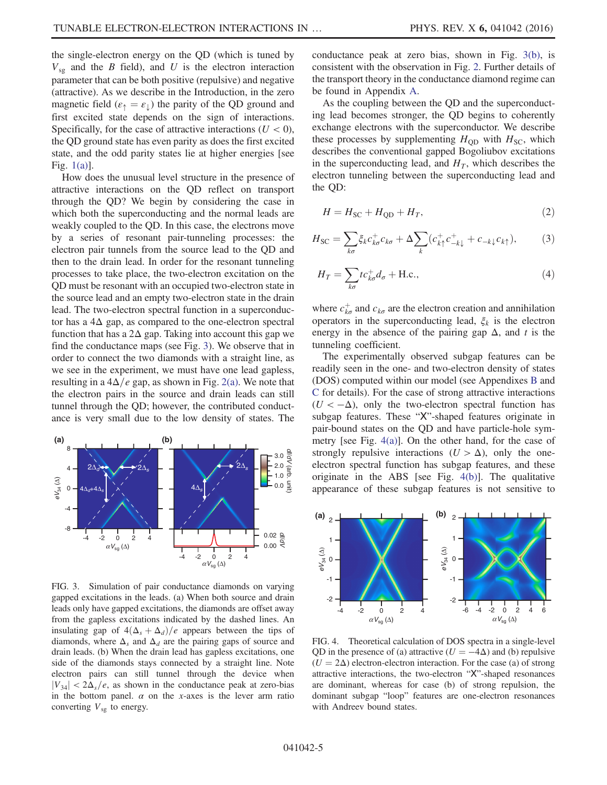the single-electron energy on the QD (which is tuned by  $V_{sg}$  and the B field), and U is the electron interaction parameter that can be both positive (repulsive) and negative (attractive). As we describe in the Introduction, in the zero magnetic field ( $\varepsilon_{\uparrow} = \varepsilon_{\downarrow}$ ) the parity of the QD ground and first excited state depends on the sign of interactions. Specifically, for the case of attractive interactions  $(U < 0)$ , the QD ground state has even parity as does the first excited state, and the odd parity states lie at higher energies [see Fig. [1\(a\)\]](#page-1-0).

How does the unusual level structure in the presence of attractive interactions on the QD reflect on transport through the QD? We begin by considering the case in which both the superconducting and the normal leads are weakly coupled to the QD. In this case, the electrons move by a series of resonant pair-tunneling processes: the electron pair tunnels from the source lead to the QD and then to the drain lead. In order for the resonant tunneling processes to take place, the two-electron excitation on the QD must be resonant with an occupied two-electron state in the source lead and an empty two-electron state in the drain lead. The two-electron spectral function in a superconductor has a 4Δ gap, as compared to the one-electron spectral function that has a  $2\Delta$  gap. Taking into account this gap we find the conductance maps (see Fig. [3](#page-4-0)). We observe that in order to connect the two diamonds with a straight line, as we see in the experiment, we must have one lead gapless, resulting in a  $4\Delta/e$  gap, as shown in Fig. [2\(a\)](#page-2-0). We note that the electron pairs in the source and drain leads can still tunnel through the QD; however, the contributed conductance is very small due to the low density of states. The

<span id="page-4-0"></span>

FIG. 3. Simulation of pair conductance diamonds on varying gapped excitations in the leads. (a) When both source and drain leads only have gapped excitations, the diamonds are offset away from the gapless excitations indicated by the dashed lines. An insulating gap of  $4(\Delta_s + \Delta_d)/e$  appears between the tips of diamonds, where  $\Delta_s$  and  $\Delta_d$  are the pairing gaps of source and drain leads. (b) When the drain lead has gapless excitations, one side of the diamonds stays connected by a straight line. Note electron pairs can still tunnel through the device when  $|V_{34}| < 2\Delta_s/e$ , as shown in the conductance peak at zero-bias in the bottom panel.  $\alpha$  on the x-axes is the lever arm ratio converting  $V_{sg}$  to energy.

conductance peak at zero bias, shown in Fig. [3\(b\),](#page-4-0) is consistent with the observation in Fig. [2.](#page-2-0) Further details of the transport theory in the conductance diamond regime can be found in Appendix [A.](#page-7-0)

As the coupling between the QD and the superconducting lead becomes stronger, the QD begins to coherently exchange electrons with the superconductor. We describe these processes by supplementing  $H<sub>OD</sub>$  with  $H<sub>SC</sub>$ , which describes the conventional gapped Bogoliubov excitations in the superconducting lead, and  $H<sub>T</sub>$ , which describes the electron tunneling between the superconducting lead and the QD:

<span id="page-4-2"></span>
$$
H = H_{SC} + H_{QD} + H_T,\tag{2}
$$

$$
H_{\rm SC} = \sum_{k\sigma} \xi_k c_{k\sigma}^+ c_{k\sigma} + \Delta \sum_k (c_{k\uparrow}^+ c_{-k\downarrow}^+ + c_{-k\downarrow} c_{k\uparrow}),\tag{3}
$$

<span id="page-4-3"></span>
$$
H_T = \sum_{k\sigma} t c_{k\sigma}^+ d_\sigma + \text{H.c.},\tag{4}
$$

where  $c_{k\sigma}^{+}$  and  $c_{k\sigma}$  are the electron creation and annihilation operators in the superconducting lead,  $\xi_k$  is the electron energy in the absence of the pairing gap  $\Delta$ , and t is the tunneling coefficient.

The experimentally observed subgap features can be readily seen in the one- and two-electron density of states (DOS) computed within our model (see Appendixes [B](#page-7-1) and [C](#page-8-0) for details). For the case of strong attractive interactions  $(U < -\Delta)$ , only the two-electron spectral function has subgap features. These "X"-shaped features originate in pair-bound states on the QD and have particle-hole symmetry [see Fig. [4\(a\)\]](#page-4-1). On the other hand, for the case of strongly repulsive interactions  $(U > \Delta)$ , only the oneelectron spectral function has subgap features, and these originate in the ABS [see Fig. [4\(b\)\]](#page-4-1). The qualitative appearance of these subgap features is not sensitive to

<span id="page-4-1"></span>

FIG. 4. Theoretical calculation of DOS spectra in a single-level QD in the presence of (a) attractive ( $U = -4\Delta$ ) and (b) repulsive  $(U = 2\Delta)$  electron-electron interaction. For the case (a) of strong attractive interactions, the two-electron "X"-shaped resonances are dominant, whereas for case (b) of strong repulsion, the dominant subgap "loop" features are one-electron resonances with Andreev bound states.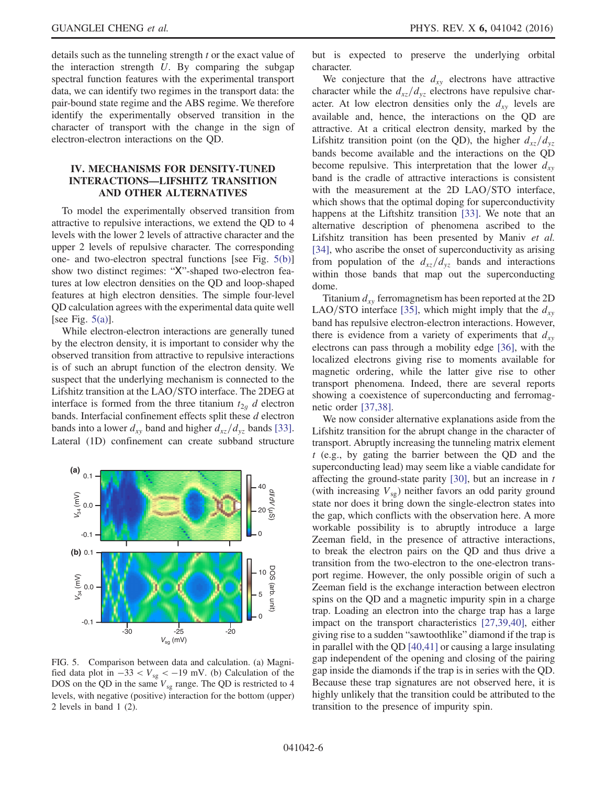details such as the tunneling strength t or the exact value of the interaction strength  $U$ . By comparing the subgap spectral function features with the experimental transport data, we can identify two regimes in the transport data: the pair-bound state regime and the ABS regime. We therefore identify the experimentally observed transition in the character of transport with the change in the sign of electron-electron interactions on the QD.

# IV. MECHANISMS FOR DENSITY-TUNED INTERACTIONS—LIFSHITZ TRANSITION AND OTHER ALTERNATIVES

To model the experimentally observed transition from attractive to repulsive interactions, we extend the QD to 4 levels with the lower 2 levels of attractive character and the upper 2 levels of repulsive character. The corresponding one- and two-electron spectral functions [see Fig. [5\(b\)\]](#page-5-0) show two distinct regimes: "X"-shaped two-electron features at low electron densities on the QD and loop-shaped features at high electron densities. The simple four-level QD calculation agrees with the experimental data quite well [see Fig.  $5(a)$ ].

While electron-electron interactions are generally tuned by the electron density, it is important to consider why the observed transition from attractive to repulsive interactions is of such an abrupt function of the electron density. We suspect that the underlying mechanism is connected to the Lifshitz transition at the LAO/STO interface. The 2DEG at interface is formed from the three titanium  $t_{2q}$  d electron bands. Interfacial confinement effects split these d electron bands into a lower  $d_{xy}$  band and higher  $d_{xz}/d_{yz}$  bands [\[33\]](#page-10-9). Lateral (1D) confinement can create subband structure

<span id="page-5-0"></span>

FIG. 5. Comparison between data and calculation. (a) Magnified data plot in  $-33 < V_{sg} < -19$  mV. (b) Calculation of the DOS on the QD in the same  $V_{sg}$  range. The QD is restricted to 4 levels, with negative (positive) interaction for the bottom (upper) 2 levels in band 1 (2).

but is expected to preserve the underlying orbital character.

We conjecture that the  $d_{xy}$  electrons have attractive character while the  $d_{xz}/d_{yz}$  electrons have repulsive character. At low electron densities only the  $d_{xy}$  levels are available and, hence, the interactions on the QD are attractive. At a critical electron density, marked by the Lifshitz transition point (on the QD), the higher  $d_{xz}/d_{yz}$ bands become available and the interactions on the QD become repulsive. This interpretation that the lower  $d_{xy}$ band is the cradle of attractive interactions is consistent with the measurement at the 2D LAO/STO interface, which shows that the optimal doping for superconductivity happens at the Liftshitz transition [\[33\].](#page-10-9) We note that an alternative description of phenomena ascribed to the Lifshitz transition has been presented by Maniv et al. [\[34\]](#page-10-10), who ascribe the onset of superconductivity as arising from population of the  $d_{xz}/d_{yz}$  bands and interactions within those bands that map out the superconducting dome.

Titanium  $d_{xy}$  ferromagnetism has been reported at the 2D LAO/STO interface [\[35\]](#page-10-11), which might imply that the  $d_{xy}$ band has repulsive electron-electron interactions. However, there is evidence from a variety of experiments that  $d_{xy}$ electrons can pass through a mobility edge [\[36\]](#page-10-12), with the localized electrons giving rise to moments available for magnetic ordering, while the latter give rise to other transport phenomena. Indeed, there are several reports showing a coexistence of superconducting and ferromagnetic order [\[37,38\].](#page-10-13)

We now consider alternative explanations aside from the Lifshitz transition for the abrupt change in the character of transport. Abruptly increasing the tunneling matrix element t (e.g., by gating the barrier between the QD and the superconducting lead) may seem like a viable candidate for affecting the ground-state parity  $[30]$ , but an increase in  $t$ (with increasing  $V_{sg}$ ) neither favors an odd parity ground state nor does it bring down the single-electron states into the gap, which conflicts with the observation here. A more workable possibility is to abruptly introduce a large Zeeman field, in the presence of attractive interactions, to break the electron pairs on the QD and thus drive a transition from the two-electron to the one-electron transport regime. However, the only possible origin of such a Zeeman field is the exchange interaction between electron spins on the QD and a magnetic impurity spin in a charge trap. Loading an electron into the charge trap has a large impact on the transport characteristics [\[27,39,40\]](#page-10-6), either giving rise to a sudden "sawtoothlike" diamond if the trap is in parallel with the QD [\[40,41\]](#page-10-15) or causing a large insulating gap independent of the opening and closing of the pairing gap inside the diamonds if the trap is in series with the QD. Because these trap signatures are not observed here, it is highly unlikely that the transition could be attributed to the transition to the presence of impurity spin.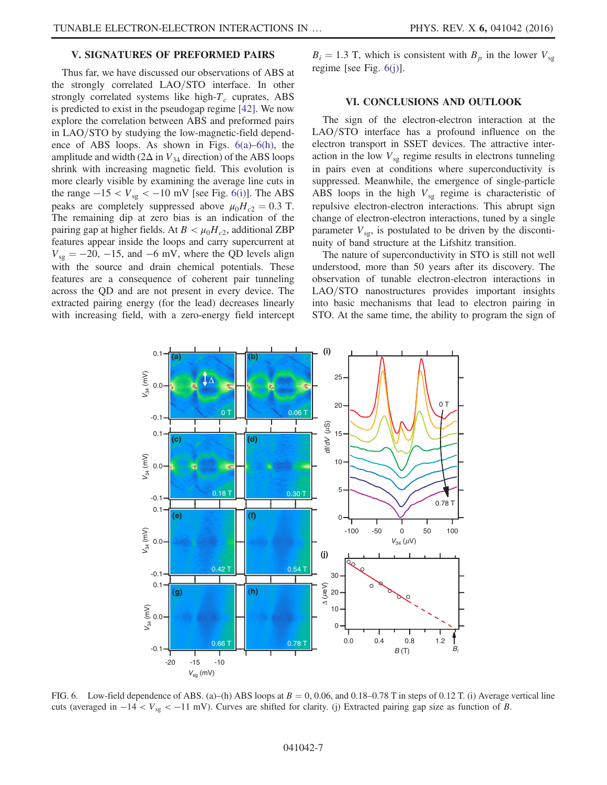#### V. SIGNATURES OF PREFORMED PAIRS

Thus far, we have discussed our observations of ABS at the strongly correlated LAO/STO interface. In other strongly correlated systems like high- $T_c$  cuprates, ABS is predicted to exist in the pseudogap regime [\[42\].](#page-10-16) We now explore the correlation between ABS and preformed pairs in LAO/STO by studying the low-magnetic-field dependence of ABS loops. As shown in Figs. 6(a)–[6\(h\)](#page-6-0), the amplitude and width ( $2\Delta$  in  $V_{34}$  direction) of the ABS loops shrink with increasing magnetic field. This evolution is more clearly visible by examining the average line cuts in the range  $-15 < V_{sg} < -10$  mV [see Fig. [6\(i\)](#page-6-0)]. The ABS peaks are completely suppressed above  $\mu_0 H_{c2} = 0.3$  T. The remaining dip at zero bias is an indication of the pairing gap at higher fields. At  $B < \mu_0 H_{c2}$ , additional ZBP features appear inside the loops and carry supercurrent at  $V_{sg} = -20, -15,$  and  $-6$  mV, where the QD levels align with the source and drain chemical potentials. These features are a consequence of coherent pair tunneling across the QD and are not present in every device. The extracted pairing energy (for the lead) decreases linearly with increasing field, with a zero-energy field intercept  $B_i = 1.3$  T, which is consistent with  $B_p$  in the lower  $V_{sg}$ regime [see Fig. [6\(j\)\]](#page-6-0).

#### VI. CONCLUSIONS AND OUTLOOK

The sign of the electron-electron interaction at the  $LAO/STO$  interface has a profound influence on the electron transport in SSET devices. The attractive interaction in the low  $V_{sg}$  regime results in electrons tunneling in pairs even at conditions where superconductivity is suppressed. Meanwhile, the emergence of single-particle ABS loops in the high  $V_{sg}$  regime is characteristic of repulsive electron-electron interactions. This abrupt sign change of electron-electron interactions, tuned by a single parameter  $V_{\text{sg}}$ , is postulated to be driven by the discontinuity of band structure at the Lifshitz transition.

The nature of superconductivity in STO is still not well understood, more than 50 years after its discovery. The observation of tunable electron-electron interactions in LAO/STO nanostructures provides important insights into basic mechanisms that lead to electron pairing in STO. At the same time, the ability to program the sign of

<span id="page-6-0"></span>

FIG. 6. Low-field dependence of ABS. (a)–(h) ABS loops at  $B = 0, 0.06$ , and 0.18–0.78 T in steps of 0.12 T. (i) Average vertical line cuts (averaged in  $-14 < V_{sg} < -11$  mV). Curves are shifted for clarity. (j) Extracted pairing gap size as function of B.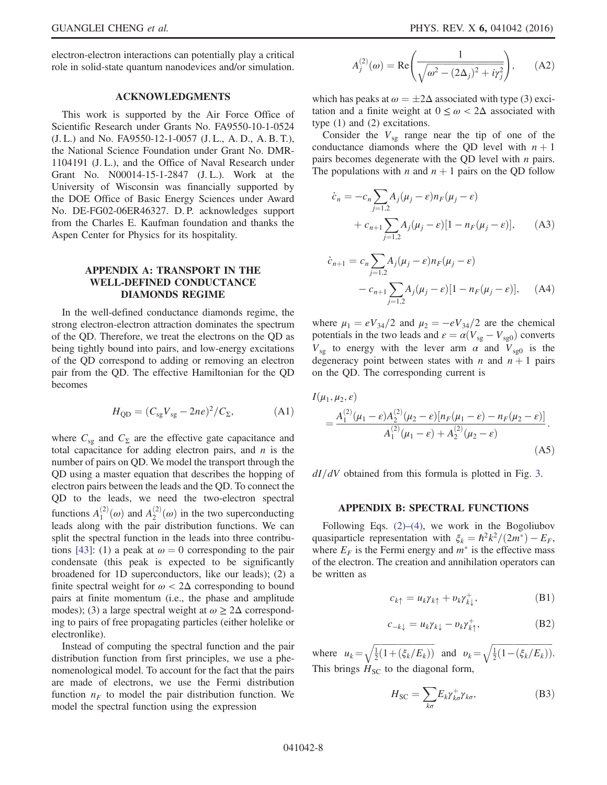electron-electron interactions can potentially play a critical role in solid-state quantum nanodevices and/or simulation.

# ACKNOWLEDGMENTS

This work is supported by the Air Force Office of Scientific Research under Grants No. FA9550-10-1-0524 (J. L.) and No. FA9550-12-1-0057 (J. L., A. D., A. B. T.), the National Science Foundation under Grant No. DMR-1104191 (J. L.), and the Office of Naval Research under Grant No. N00014-15-1-2847 (J. L.). Work at the University of Wisconsin was financially supported by the DOE Office of Basic Energy Sciences under Award No. DE-FG02-06ER46327. D. P. acknowledges support from the Charles E. Kaufman foundation and thanks the Aspen Center for Physics for its hospitality.

# <span id="page-7-0"></span>APPENDIX A: TRANSPORT IN THE WELL-DEFINED CONDUCTANCE DIAMONDS REGIME

In the well-defined conductance diamonds regime, the strong electron-electron attraction dominates the spectrum of the QD. Therefore, we treat the electrons on the QD as being tightly bound into pairs, and low-energy excitations of the QD correspond to adding or removing an electron pair from the QD. The effective Hamiltonian for the QD becomes

$$
H_{\rm QD} = (C_{\rm sg} V_{\rm sg} - 2ne)^2 / C_{\Sigma}, \tag{A1}
$$

where  $C_{sg}$  and  $C_{\Sigma}$  are the effective gate capacitance and total capacitance for adding electron pairs, and  $n$  is the number of pairs on QD. We model the transport through the QD using a master equation that describes the hopping of electron pairs between the leads and the QD. To connect the QD to the leads, we need the two-electron spectral functions  $A_1^{(2)}(\omega)$  and  $A_2^{(2)}(\omega)$  in the two superconducting<br>leads along with the pair distribution functions. We can leads along with the pair distribution functions. We can split the spectral function in the leads into three contribu-tions [\[43\]](#page-10-17): (1) a peak at  $\omega = 0$  corresponding to the pair condensate (this peak is expected to be significantly broadened for 1D superconductors, like our leads); (2) a finite spectral weight for  $\omega < 2\Delta$  corresponding to bound pairs at finite momentum (i.e., the phase and amplitude modes); (3) a large spectral weight at  $\omega \ge 2\Delta$  corresponding to pairs of free propagating particles (either holelike or electronlike).

Instead of computing the spectral function and the pair distribution function from first principles, we use a phenomenological model. To account for the fact that the pairs are made of electrons, we use the Fermi distribution function  $n_F$  to model the pair distribution function. We model the spectral function using the expression

$$
A_j^{(2)}(\omega) = \text{Re}\left(\frac{1}{\sqrt{\omega^2 - (2\Delta_j)^2 + i\gamma_j^2}}\right), \quad (A2)
$$

which has peaks at  $\omega = \pm 2\Delta$  associated with type (3) excitation and a finite weight at  $0 \le \omega \le 2\Delta$  associated with tation and a finite weight at  $0 \leq \omega < 2\Delta$  associated with type (1) and (2) excitations.

Consider the  $V_{sg}$  range near the tip of one of the conductance diamonds where the QD level with  $n + 1$ pairs becomes degenerate with the QD level with  $n$  pairs. The populations with *n* and  $n + 1$  pairs on the QD follow

$$
\dot{c}_n = -c_n \sum_{j=1,2} A_j (\mu_j - \varepsilon) n_F (\mu_j - \varepsilon)
$$
  
+ 
$$
c_{n+1} \sum_{j=1,2} A_j (\mu_j - \varepsilon) [1 - n_F (\mu_j - \varepsilon)], \qquad (A3)
$$

$$
\dot{c}_{n+1} = c_n \sum_{j=1,2} A_j (\mu_j - \varepsilon) n_F (\mu_j - \varepsilon)
$$
  
- 
$$
c_{n+1} \sum_{j=1,2} A_j (\mu_j - \varepsilon) [1 - n_F (\mu_j - \varepsilon)], \quad (A4)
$$

where  $\mu_1 = eV_{34}/2$  and  $\mu_2 = -eV_{34}/2$  are the chemical potentials in the two leads and  $\varepsilon = \alpha (V_{sg} - V_{sg0})$  converts  $V_{sg}$  to energy with the lever arm  $\alpha$  and  $V_{sg0}$  is the degeneracy point between states with *n* and  $n + 1$  pairs on the QD. The corresponding current is

<span id="page-7-2"></span>
$$
I(\mu_1, \mu_2, \varepsilon)
$$
  
= 
$$
\frac{A_1^{(2)}(\mu_1 - \varepsilon)A_2^{(2)}(\mu_2 - \varepsilon)[n_F(\mu_1 - \varepsilon) - n_F(\mu_2 - \varepsilon)]}{A_1^{(2)}(\mu_1 - \varepsilon) + A_2^{(2)}(\mu_2 - \varepsilon)}.
$$
 (A5)

<span id="page-7-1"></span> $dI/dV$  obtained from this formula is plotted in Fig. [3](#page-4-0).

#### APPENDIX B: SPECTRAL FUNCTIONS

<span id="page-7-3"></span>Following Eqs. [\(2\)](#page-4-2)–[\(4\),](#page-4-3) we work in the Bogoliubov quasiparticle representation with  $\xi_k = \hbar^2 k^2/(2m^*) - E_F$ , where  $E_F$  is the Fermi energy and  $m^*$  is the effective mass of the electron. The creation and annihilation operators can be written as

$$
c_{k\uparrow} = u_k \gamma_{k\uparrow} + v_k \gamma_{k\downarrow}^+, \tag{B1}
$$

$$
c_{-k\downarrow} = u_k \gamma_{k\downarrow} - v_k \gamma_{k\uparrow}^+, \tag{B2}
$$

where  $u_k = \sqrt{\frac{1}{2}(1 + (\xi_k/E_k))}$  and  $v_k = \sqrt{\frac{1}{2}(1 - (\xi_k/E_k))}$ . This brings  $H_{SC}$  to the diagonal form,

$$
H_{\rm SC} = \sum_{k\sigma} E_k \gamma_{k\sigma}^+ \gamma_{k\sigma}, \tag{B3}
$$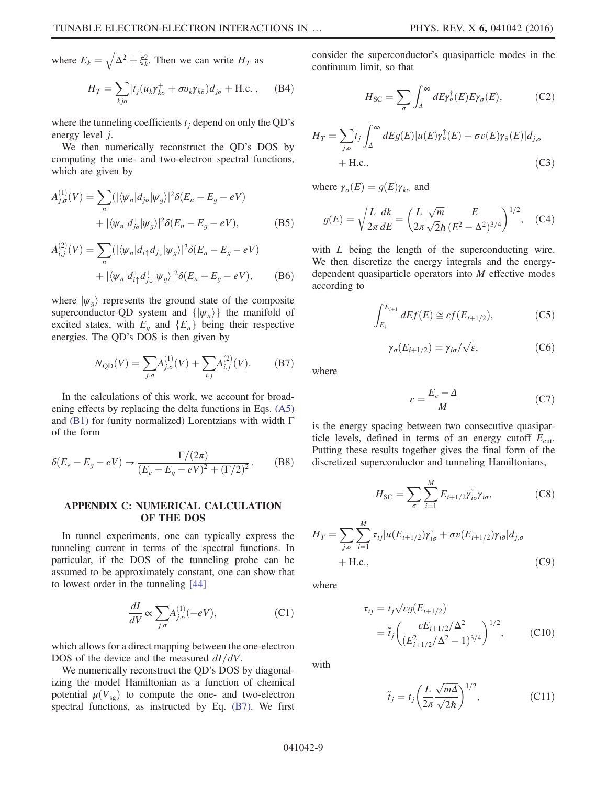where  $E_k = \sqrt{\Delta^2 + \xi_k^2}$ . Then we can write  $H_T$  as

$$
H_T = \sum_{kj\sigma} [t_j (u_k \gamma_{k\sigma}^+ + \sigma v_k \gamma_{k\bar{\sigma}}) d_{j\sigma} + \text{H.c.}], \quad \text{(B4)}
$$

where the tunneling coefficients  $t_i$  depend on only the QD's energy level j.

We then numerically reconstruct the QD's DOS by computing the one- and two-electron spectral functions, which are given by

$$
A_{j,\sigma}^{(1)}(V) = \sum_{n} (|\langle \psi_n | d_{j\sigma} | \psi_g \rangle|^2 \delta(E_n - E_g - eV)
$$
  
+  $|\langle \psi_n | d_{j\sigma}^+ | \psi_g \rangle|^2 \delta(E_n - E_g - eV),$  (B5)

$$
A_{i,j}^{(2)}(V) = \sum_{n} (|\langle \psi_n | d_{i\uparrow} d_{j\downarrow} | \psi_g \rangle|^2 \delta(E_n - E_g - eV)
$$
  
+ 
$$
|\langle \psi_n | d_{i\uparrow}^+ d_{j\downarrow}^+ | \psi_g \rangle|^2 \delta(E_n - E_g - eV), \qquad (B6)
$$

<span id="page-8-1"></span>where  $|\psi_q\rangle$  represents the ground state of the composite superconductor-QD system and  $\{|\psi_n\rangle\}$  the manifold of excited states, with  $E<sub>g</sub>$  and  $\{E<sub>n</sub>\}$  being their respective energies. The QD's DOS is then given by

$$
N_{\text{QD}}(V) = \sum_{j,\sigma} A_{j,\sigma}^{(1)}(V) + \sum_{i,j} A_{i,j}^{(2)}(V). \tag{B7}
$$

In the calculations of this work, we account for broadening effects by replacing the delta functions in Eqs. [\(A5\)](#page-7-2) and [\(B1\)](#page-7-3) for (unity normalized) Lorentzians with width Γ of the form

$$
\delta(E_e - E_g - eV) \rightarrow \frac{\Gamma/(2\pi)}{(E_e - E_g - eV)^2 + (\Gamma/2)^2}.
$$
 (B8)

# <span id="page-8-0"></span>APPENDIX C: NUMERICAL CALCULATION OF THE DOS

In tunnel experiments, one can typically express the tunneling current in terms of the spectral functions. In particular, if the DOS of the tunneling probe can be assumed to be approximately constant, one can show that to lowest order in the tunneling [\[44\]](#page-10-18)

$$
\frac{dI}{dV} \propto \sum_{j,\sigma} A_{j,\sigma}^{(1)}(-eV),\tag{C1}
$$

which allows for a direct mapping between the one-electron DOS of the device and the measured  $dI/dV$ .

We numerically reconstruct the QD's DOS by diagonalizing the model Hamiltonian as a function of chemical potential  $\mu(V_{\rm ss})$  to compute the one- and two-electron spectral functions, as instructed by Eq. [\(B7\).](#page-8-1) We first consider the superconductor's quasiparticle modes in the continuum limit, so that

$$
H_{\rm SC} = \sum_{\sigma} \int_{\Delta}^{\infty} dE \gamma_{\sigma}^{\dagger}(E) E \gamma_{\sigma}(E), \tag{C2}
$$

$$
H_T = \sum_{j,\sigma} t_j \int_{\Delta}^{\infty} dE g(E) [u(E) \gamma_{\sigma}^{\dagger}(E) + \sigma v(E) \gamma_{\bar{\sigma}}(E)] d_{j,\sigma}
$$
  
+ H.c., (C3)

where  $\gamma_{\sigma}(E) = g(E)\gamma_{k\sigma}$  and

$$
g(E) = \sqrt{\frac{L}{2\pi} \frac{dk}{dE}} = \left(\frac{L}{2\pi} \frac{\sqrt{m}}{\sqrt{2}\hbar} \frac{E}{(E^2 - \Delta^2)^{3/4}}\right)^{1/2}, \quad \text{(C4)}
$$

with *L* being the length of the superconducting wire. We then discretize the energy integrals and the energydependent quasiparticle operators into M effective modes according to

$$
\int_{E_i}^{E_{i+1}} dE f(E) \cong \varepsilon f(E_{i+1/2}),\tag{C5}
$$

$$
\gamma_{\sigma}(E_{i+1/2}) = \gamma_{i\sigma}/\sqrt{\varepsilon},\tag{C6}
$$

where

$$
\varepsilon = \frac{E_c - \Delta}{M} \tag{C7}
$$

is the energy spacing between two consecutive quasiparticle levels, defined in terms of an energy cutoff  $E_{\text{cut}}$ . Putting these results together gives the final form of the discretized superconductor and tunneling Hamiltonians,

$$
H_{\rm SC} = \sum_{\sigma} \sum_{i=1}^{M} E_{i+1/2} \gamma_{i\sigma}^{\dagger} \gamma_{i\sigma}, \tag{C8}
$$

$$
H_T = \sum_{j,\sigma} \sum_{i=1}^{M} \tau_{ij} [u(E_{i+1/2}) \gamma_{i\sigma}^{\dagger} + \sigma v(E_{i+1/2}) \gamma_{i\bar{\sigma}}] d_{j,\sigma}
$$
  
+ H.c., (C9)

where

$$
\tau_{ij} = t_j \sqrt{\varepsilon} g(E_{i+1/2})
$$
  
=  $\tilde{t}_j \left( \frac{\varepsilon E_{i+1/2} / \Delta^2}{(E_{i+1/2}^2 / \Delta^2 - 1)^{3/4}} \right)^{1/2}$ , (C10)

with

$$
\tilde{t}_j = t_j \left( \frac{L}{2\pi} \frac{\sqrt{m\Delta}}{\sqrt{2}\hbar} \right)^{1/2},\tag{C11}
$$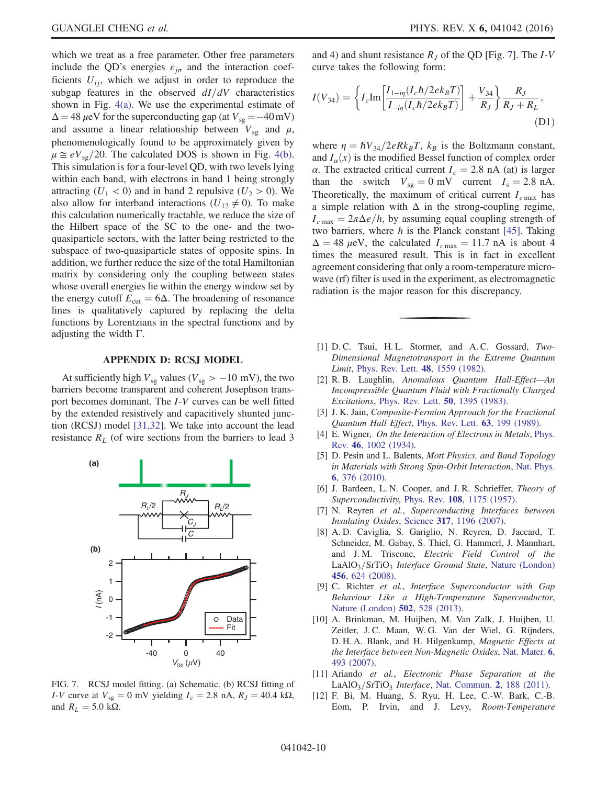which we treat as a free parameter. Other free parameters include the QD's energies  $\varepsilon_{j\sigma}$  and the interaction coefficients  $U_{ij}$ , which we adjust in order to reproduce the subgap features in the observed  $dI/dV$  characteristics shown in Fig. [4\(a\).](#page-4-1) We use the experimental estimate of  $\Delta = 48 \,\mu\text{eV}$  for the superconducting gap (at  $V_{\text{sg}} = -40 \,\text{mV}$ ) and assume a linear relationship between  $V_{sg}$  and  $\mu$ , phenomenologically found to be approximately given by  $\mu \approx eV_{\text{sg}}/20$ . The calculated DOS is shown in Fig. [4\(b\)](#page-4-1). This simulation is for a four-level QD, with two levels lying within each band, with electrons in band 1 being strongly attracting ( $U_1$  < 0) and in band 2 repulsive ( $U_2$  > 0). We also allow for interband interactions ( $U_{12} \neq 0$ ). To make this calculation numerically tractable, we reduce the size of the Hilbert space of the SC to the one- and the twoquasiparticle sectors, with the latter being restricted to the subspace of two-quasiparticle states of opposite spins. In addition, we further reduce the size of the total Hamiltonian matrix by considering only the coupling between states whose overall energies lie within the energy window set by the energy cutoff  $E_{\text{cut}} = 6\Delta$ . The broadening of resonance lines is qualitatively captured by replacing the delta functions by Lorentzians in the spectral functions and by adjusting the width Γ.

# APPENDIX D: RCSJ MODEL

<span id="page-9-6"></span>At sufficiently high  $V_{sg}$  values ( $V_{sg} > -10$  mV), the two barriers become transparent and coherent Josephson transport becomes dominant. The I-V curves can be well fitted by the extended resistively and capacitively shunted junction (RCSJ) model [\[31,32\]](#page-10-8). We take into account the lead resistance  $R_L$  (of wire sections from the barriers to lead 3

<span id="page-9-8"></span>

FIG. 7. RCSJ model fitting. (a) Schematic. (b) RCSJ fitting of I-V curve at  $V_{sg} = 0$  mV yielding  $I_c = 2.8$  nA,  $R_J = 40.4$  kΩ, and  $R_L = 5.0 \text{ k}\Omega$ .

and 4) and shunt resistance  $R<sub>I</sub>$  of the QD [Fig. [7](#page-9-8)]. The I-V curve takes the following form:

$$
I(V_{34}) = \left\{ I_c \text{Im} \left[ \frac{I_{1-in}(I_c \hbar/2ek_B T)}{I_{-in}(I_c \hbar/2ek_B T)} \right] + \frac{V_{34}}{R_J} \right\} \frac{R_J}{R_J + R_L},\tag{D1}
$$

where  $\eta = \hbar V_{34}/2eRk_BT$ ,  $k_B$  is the Boltzmann constant, and  $I_\alpha(x)$  is the modified Bessel function of complex order α. The extracted critical current  $I<sub>c</sub> = 2.8$  nA (at) is larger than the switch  $V_{sg} = 0$  mV current  $I_s = 2.8$  nA. Theoretically, the maximum of critical current  $I_{c\text{max}}$  has a simple relation with  $\Delta$  in the strong-coupling regime,  $I_{c \text{max}} = 2\pi \Delta e/h$ , by assuming equal coupling strength of two barriers, where  $h$  is the Planck constant [\[45\].](#page-10-19) Taking  $\Delta = 48 \mu \text{eV}$ , the calculated  $I_{c \text{max}} = 11.7 \text{ nA}$  is about 4 times the measured result. This is in fact in excellent agreement considering that only a room-temperature microwave (rf) filter is used in the experiment, as electromagnetic radiation is the major reason for this discrepancy.

- <span id="page-9-0"></span>[1] D. C. Tsui, H. L. Stormer, and A. C. Gossard, Two-Dimensional Magnetotransport in the Extreme Quantum Limit, [Phys. Rev. Lett.](http://dx.doi.org/10.1103/PhysRevLett.48.1559) 48, 1559 (1982).
- [2] R. B. Laughlin, Anomalous Quantum Hall-Effect—An Incompressible Quantum Fluid with Fractionally Charged Excitations, [Phys. Rev. Lett.](http://dx.doi.org/10.1103/PhysRevLett.50.1395) 50, 1395 (1983).
- <span id="page-9-1"></span>[3] J. K. Jain, *Composite-Fermion Approach for the Fractional* Quantum Hall Effect, [Phys. Rev. Lett.](http://dx.doi.org/10.1103/PhysRevLett.63.199) 63, 199 (1989).
- <span id="page-9-2"></span>[4] E. Wigner, On the Interaction of Electrons in Metals, [Phys.](http://dx.doi.org/10.1103/PhysRev.46.1002) Rev. 46[, 1002 \(1934\).](http://dx.doi.org/10.1103/PhysRev.46.1002)
- <span id="page-9-3"></span>[5] D. Pesin and L. Balents, *Mott Physics, and Band Topology* in Materials with Strong Spin-Orbit Interaction, [Nat. Phys.](http://dx.doi.org/10.1038/nphys1606) 6[, 376 \(2010\).](http://dx.doi.org/10.1038/nphys1606)
- <span id="page-9-4"></span>[6] J. Bardeen, L. N. Cooper, and J. R. Schrieffer, *Theory of* Superconductivity, Phys. Rev. 108[, 1175 \(1957\).](http://dx.doi.org/10.1103/PhysRev.108.1175)
- [7] N. Reyren et al., Superconducting Interfaces between Insulating Oxides, Science 317[, 1196 \(2007\)](http://dx.doi.org/10.1126/science.1146006).
- [8] A. D. Caviglia, S. Gariglio, N. Reyren, D. Jaccard, T. Schneider, M. Gabay, S. Thiel, G. Hammerl, J. Mannhart, and J. M. Triscone, Electric Field Control of the  $LaAlO<sub>3</sub>/SrTiO<sub>3</sub>$  *Interface Ground State*, [Nature \(London\)](http://dx.doi.org/10.1038/nature07576) 456[, 624 \(2008\)](http://dx.doi.org/10.1038/nature07576).
- <span id="page-9-7"></span><span id="page-9-5"></span>[9] C. Richter et al., Interface Superconductor with Gap Behaviour Like a High-Temperature Superconductor, [Nature \(London\)](http://dx.doi.org/10.1038/nature12494) 502, 528 (2013).
- [10] A. Brinkman, M. Huijben, M. Van Zalk, J. Huijben, U. Zeitler, J. C. Maan, W. G. Van der Wiel, G. Rijnders, D. H. A. Blank, and H. Hilgenkamp, Magnetic Effects at the Interface between Non-Magnetic Oxides, [Nat. Mater.](http://dx.doi.org/10.1038/nmat1931) 6, [493 \(2007\)](http://dx.doi.org/10.1038/nmat1931).
- [11] Ariando et al., Electronic Phase Separation at the  $LaAlO<sub>3</sub>/STIO<sub>3</sub>$  *Interface*, [Nat. Commun.](http://dx.doi.org/10.1038/ncomms1192) 2, 188 (2011).
- [12] F. Bi, M. Huang, S. Ryu, H. Lee, C.-W. Bark, C.-B. Eom, P. Irvin, and J. Levy, Room-Temperature